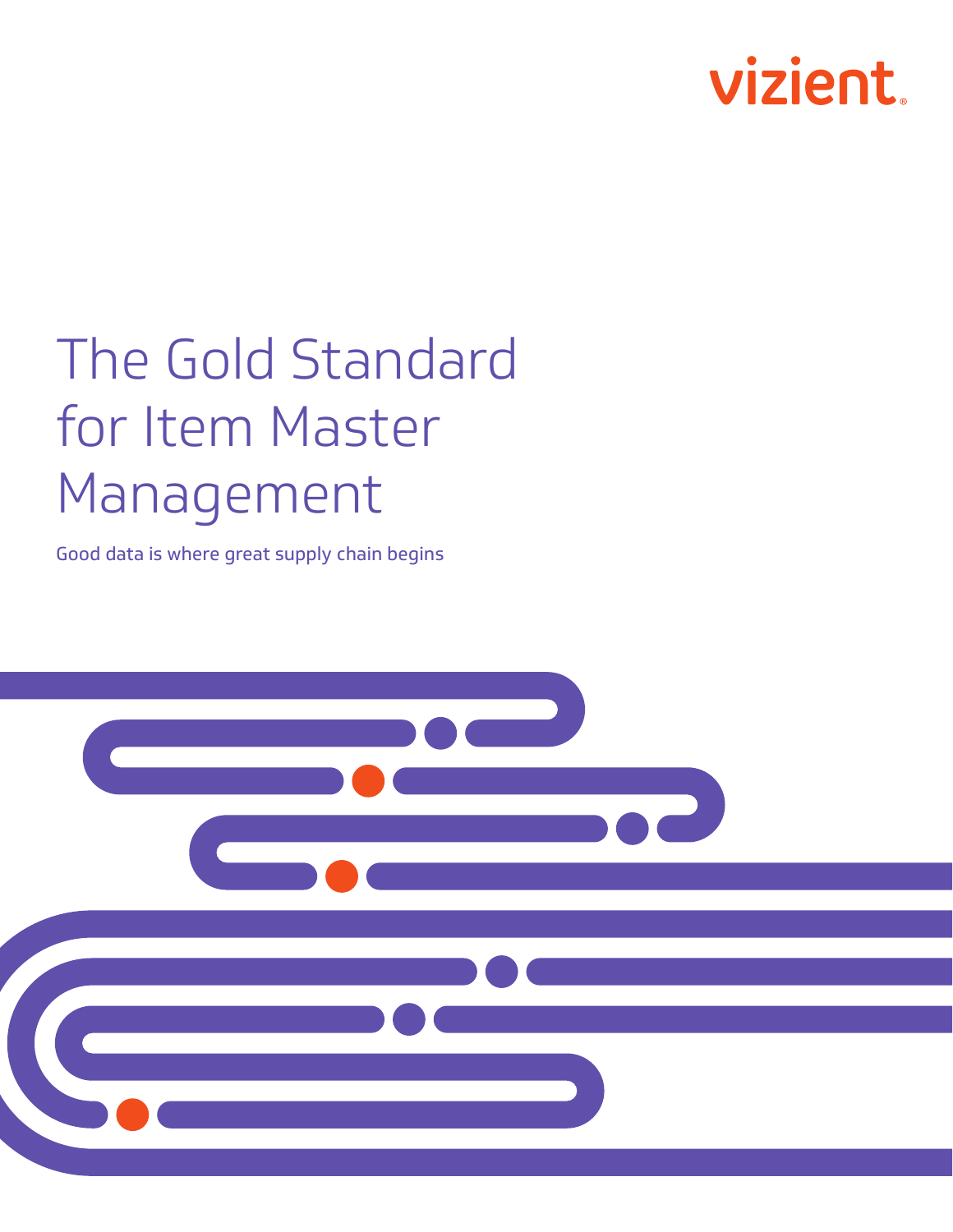

# The Gold Standard for Item Master Management

Good data is where great supply chain begins

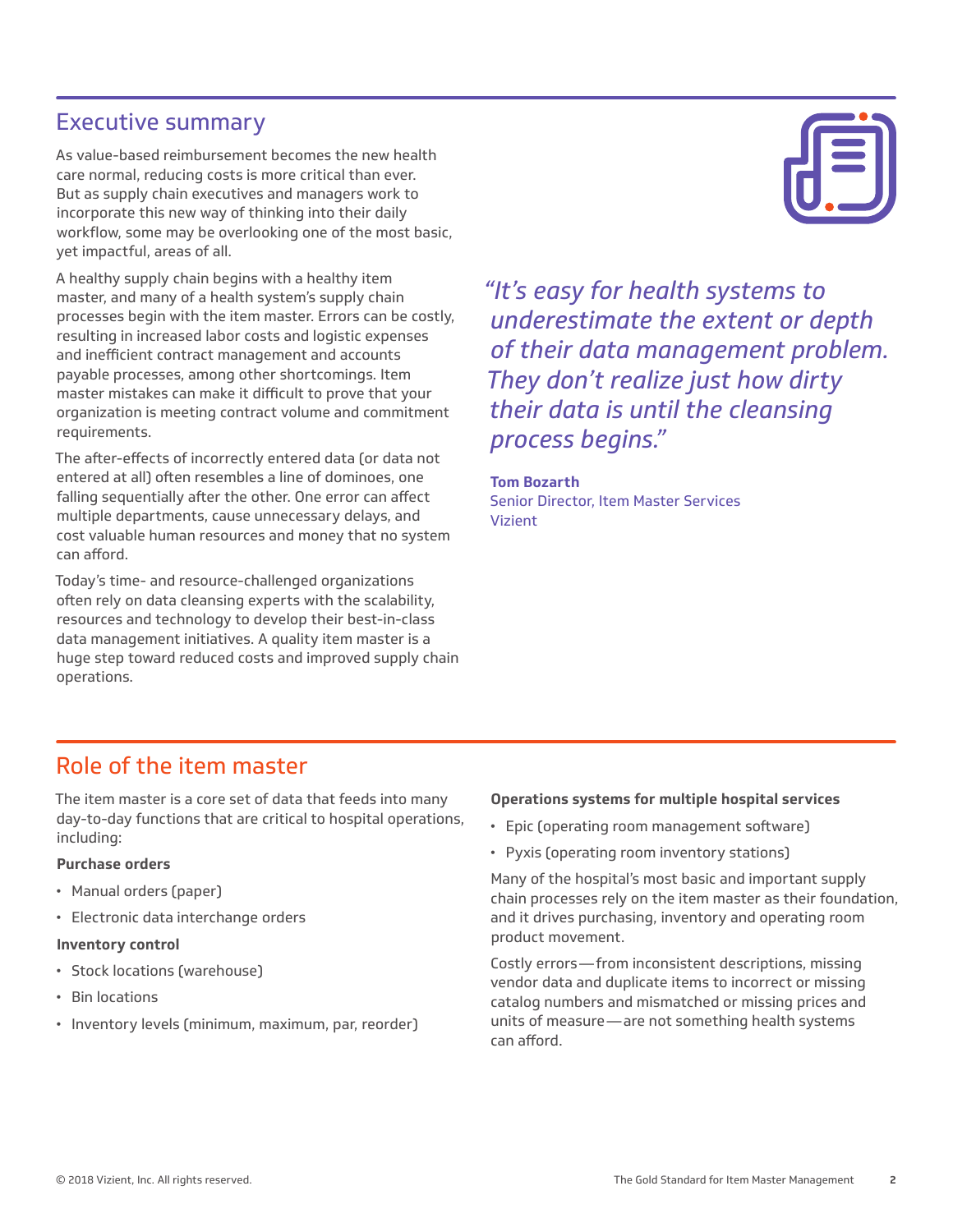## Executive summary

As value-based reimbursement becomes the new health care normal, reducing costs is more critical than ever. But as supply chain executives and managers work to incorporate this new way of thinking into their daily workflow, some may be overlooking one of the most basic, yet impactful, areas of all.

A healthy supply chain begins with a healthy item master, and many of a health system's supply chain processes begin with the item master. Errors can be costly, resulting in increased labor costs and logistic expenses and inefficient contract management and accounts payable processes, among other shortcomings. Item master mistakes can make it difficult to prove that your organization is meeting contract volume and commitment requirements.

The after-effects of incorrectly entered data (or data not entered at all) often resembles a line of dominoes, one falling sequentially after the other. One error can affect multiple departments, cause unnecessary delays, and cost valuable human resources and money that no system can afford.

Today's time- and resource-challenged organizations often rely on data cleansing experts with the scalability, resources and technology to develop their best-in-class data management initiatives. A quality item master is a huge step toward reduced costs and improved supply chain operations.

*"It's easy for health systems to underestimate the extent or depth of their data management problem. They don't realize just how dirty their data is until the cleansing process begins."*

#### **Tom Bozarth**

Senior Director, Item Master Services Vizient

### Role of the item master

The item master is a core set of data that feeds into many day-to-day functions that are critical to hospital operations, including:

#### **Purchase orders**

- Manual orders (paper)
- Electronic data interchange orders

#### **Inventory control**

- Stock locations (warehouse)
- Bin locations
- Inventory levels (minimum, maximum, par, reorder)

#### **Operations systems for multiple hospital services**

- Epic (operating room management software)
- Pyxis (operating room inventory stations)

Many of the hospital's most basic and important supply chain processes rely on the item master as their foundation, and it drives purchasing, inventory and operating room product movement.

Costly errors—from inconsistent descriptions, missing vendor data and duplicate items to incorrect or missing catalog numbers and mismatched or missing prices and units of measure—are not something health systems can afford.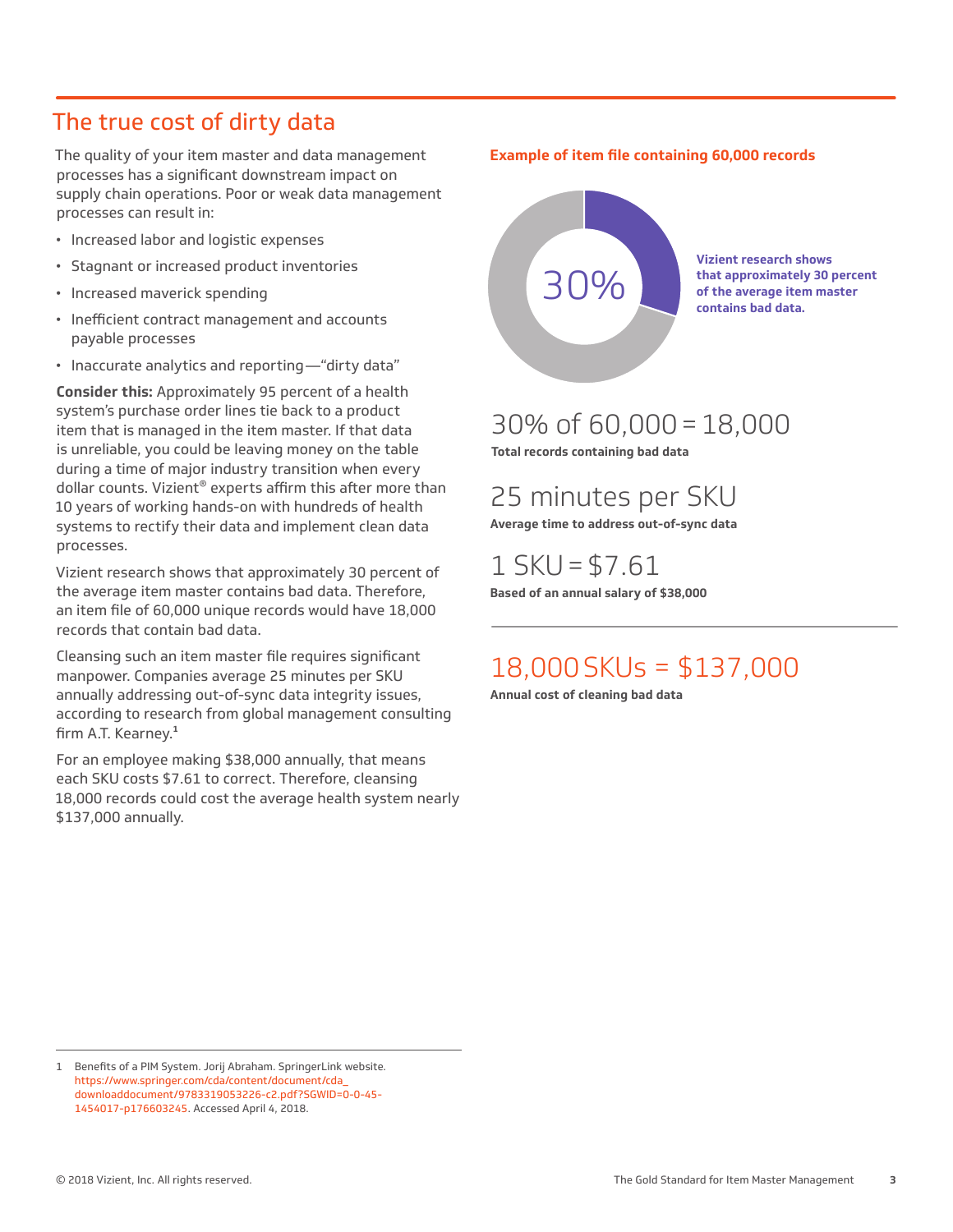## The true cost of dirty data

The quality of your item master and data management processes has a significant downstream impact on supply chain operations. Poor or weak data management processes can result in:

- Increased labor and logistic expenses
- Stagnant or increased product inventories
- Increased maverick spending
- Inefficient contract management and accounts payable processes
- Inaccurate analytics and reporting—"dirty data"

**Consider this:** Approximately 95 percent of a health system's purchase order lines tie back to a product item that is managed in the item master. If that data is unreliable, you could be leaving money on the table during a time of major industry transition when every dollar counts. Vizient® experts affirm this after more than 10 years of working hands-on with hundreds of health systems to rectify their data and implement clean data processes.

Vizient research shows that approximately 30 percent of the average item master contains bad data. Therefore, an item file of 60,000 unique records would have 18,000 records that contain bad data.

Cleansing such an item master file requires significant manpower. Companies average 25 minutes per SKU annually addressing out-of-sync data integrity issues, according to research from global management consulting firm A.T. Kearney.**<sup>1</sup>**

For an employee making \$38,000 annually, that means each SKU costs \$7.61 to correct. Therefore, cleansing 18,000 records could cost the average health system nearly \$137,000 annually.

#### **Example of item file containing 60,000 records**



## 30% of 60,000=18,000

**Total records containing bad data**

25 minutes per SKU

**Average time to address out-of-sync data**

 $1$  SKU = \$7.61 **Based of an annual salary of \$38,000**

## 18,000SKUs = \$137,000

**Annual cost of cleaning bad data**

<sup>1</sup> Benefits of a PIM System. Jorij Abraham. SpringerLink website. https://www.springer.com/cda/content/document/cda\_ downloaddocument/9783319053226-c2.pdf?SGWID=0-0-45- 1454017-p176603245. Accessed April 4, 2018.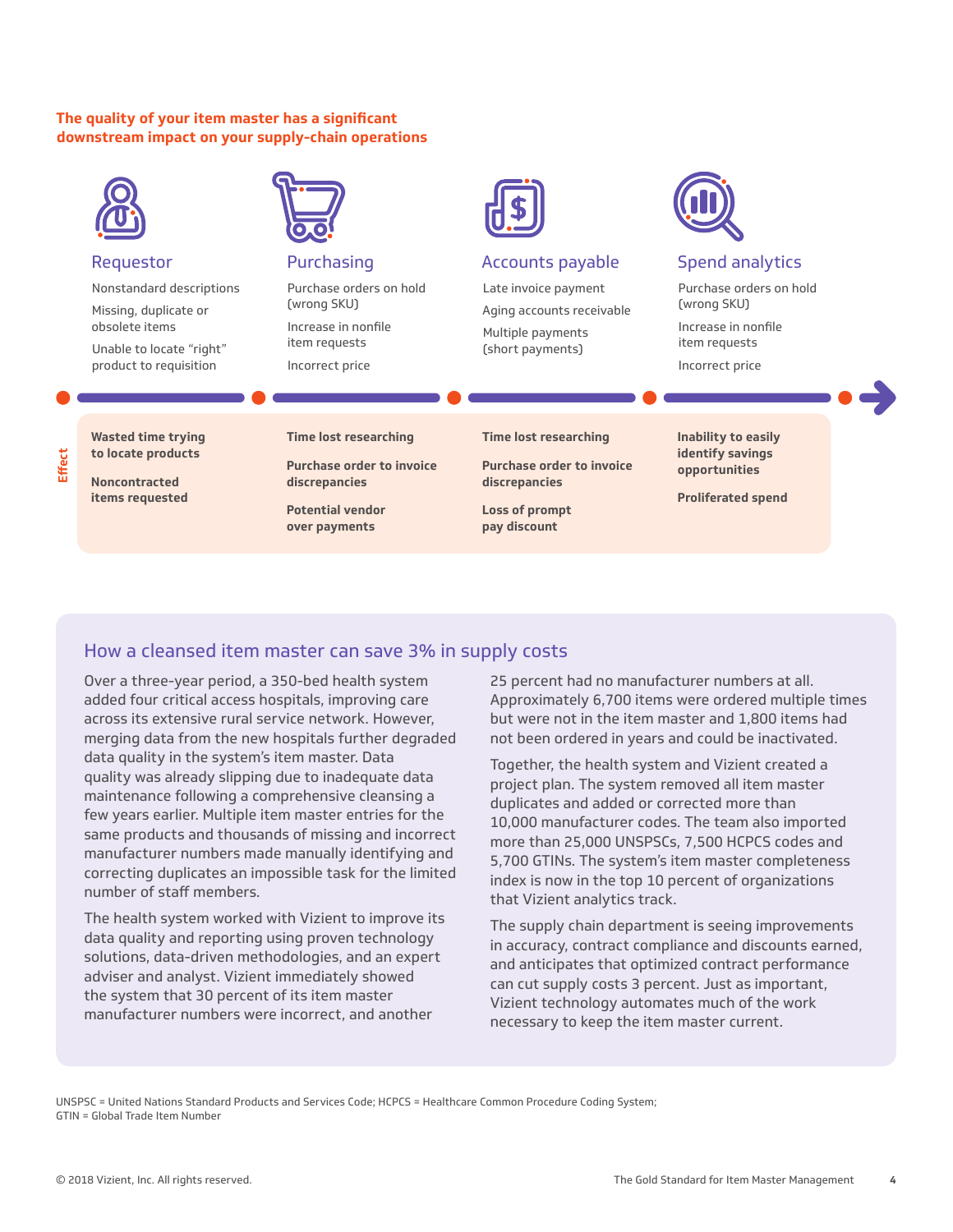#### **The quality of your item master has a significant downstream impact on your supply-chain operations**



#### How a cleansed item master can save 3% in supply costs

Over a three-year period, a 350-bed health system added four critical access hospitals, improving care across its extensive rural service network. However, merging data from the new hospitals further degraded data quality in the system's item master. Data quality was already slipping due to inadequate data maintenance following a comprehensive cleansing a few years earlier. Multiple item master entries for the same products and thousands of missing and incorrect manufacturer numbers made manually identifying and correcting duplicates an impossible task for the limited number of staff members.

The health system worked with Vizient to improve its data quality and reporting using proven technology solutions, data-driven methodologies, and an expert adviser and analyst. Vizient immediately showed the system that 30 percent of its item master manufacturer numbers were incorrect, and another

25 percent had no manufacturer numbers at all. Approximately 6,700 items were ordered multiple times but were not in the item master and 1,800 items had not been ordered in years and could be inactivated.

Together, the health system and Vizient created a project plan. The system removed all item master duplicates and added or corrected more than 10,000 manufacturer codes. The team also imported more than 25,000 UNSPSCs, 7,500 HCPCS codes and 5,700 GTINs. The system's item master completeness index is now in the top 10 percent of organizations that Vizient analytics track.

The supply chain department is seeing improvements in accuracy, contract compliance and discounts earned, and anticipates that optimized contract performance can cut supply costs 3 percent. Just as important, Vizient technology automates much of the work necessary to keep the item master current.

UNSPSC = United Nations Standard Products and Services Code; HCPCS = Healthcare Common Procedure Coding System; GTIN = Global Trade Item Number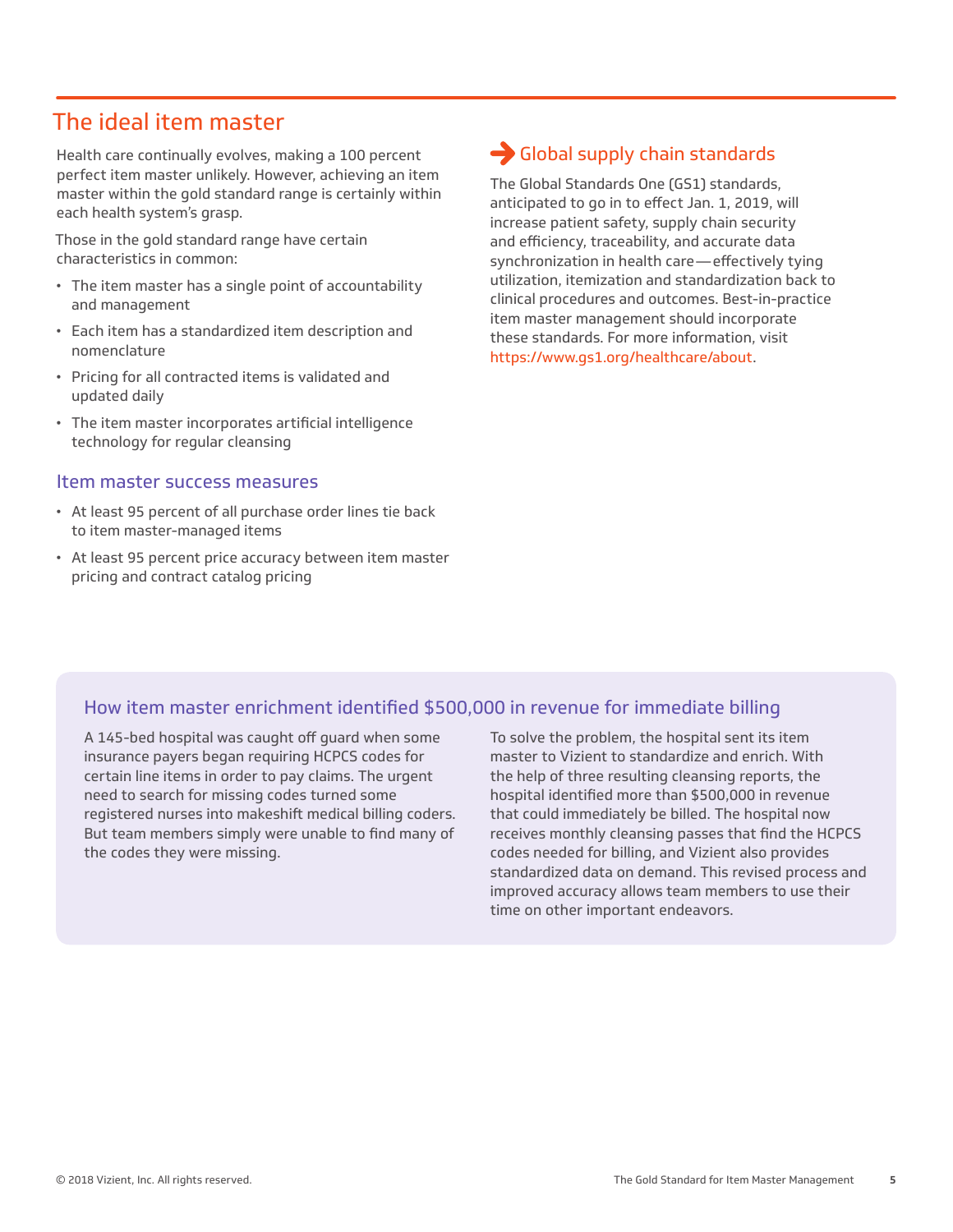## The ideal item master

Health care continually evolves, making a 100 percent perfect item master unlikely. However, achieving an item master within the gold standard range is certainly within each health system's grasp.

Those in the gold standard range have certain characteristics in common:

- The item master has a single point of accountability and management
- Each item has a standardized item description and nomenclature
- Pricing for all contracted items is validated and updated daily
- The item master incorporates artificial intelligence technology for regular cleansing

#### Item master success measures

- At least 95 percent of all purchase order lines tie back to item master-managed items
- At least 95 percent price accuracy between item master pricing and contract catalog pricing

## Global supply chain standards

The Global Standards One (GS1) standards, anticipated to go in to effect Jan. 1, 2019, will increase patient safety, supply chain security and efficiency, traceability, and accurate data synchronization in health care—effectively tying utilization, itemization and standardization back to clinical procedures and outcomes. Best-in-practice item master management should incorporate these standards. For more information, visit https://www.gs1.org/healthcare/about.

#### How item master enrichment identified \$500,000 in revenue for immediate billing

A 145-bed hospital was caught off guard when some insurance payers began requiring HCPCS codes for certain line items in order to pay claims. The urgent need to search for missing codes turned some registered nurses into makeshift medical billing coders. But team members simply were unable to find many of the codes they were missing.

To solve the problem, the hospital sent its item master to Vizient to standardize and enrich. With the help of three resulting cleansing reports, the hospital identified more than \$500,000 in revenue that could immediately be billed. The hospital now receives monthly cleansing passes that find the HCPCS codes needed for billing, and Vizient also provides standardized data on demand. This revised process and improved accuracy allows team members to use their time on other important endeavors.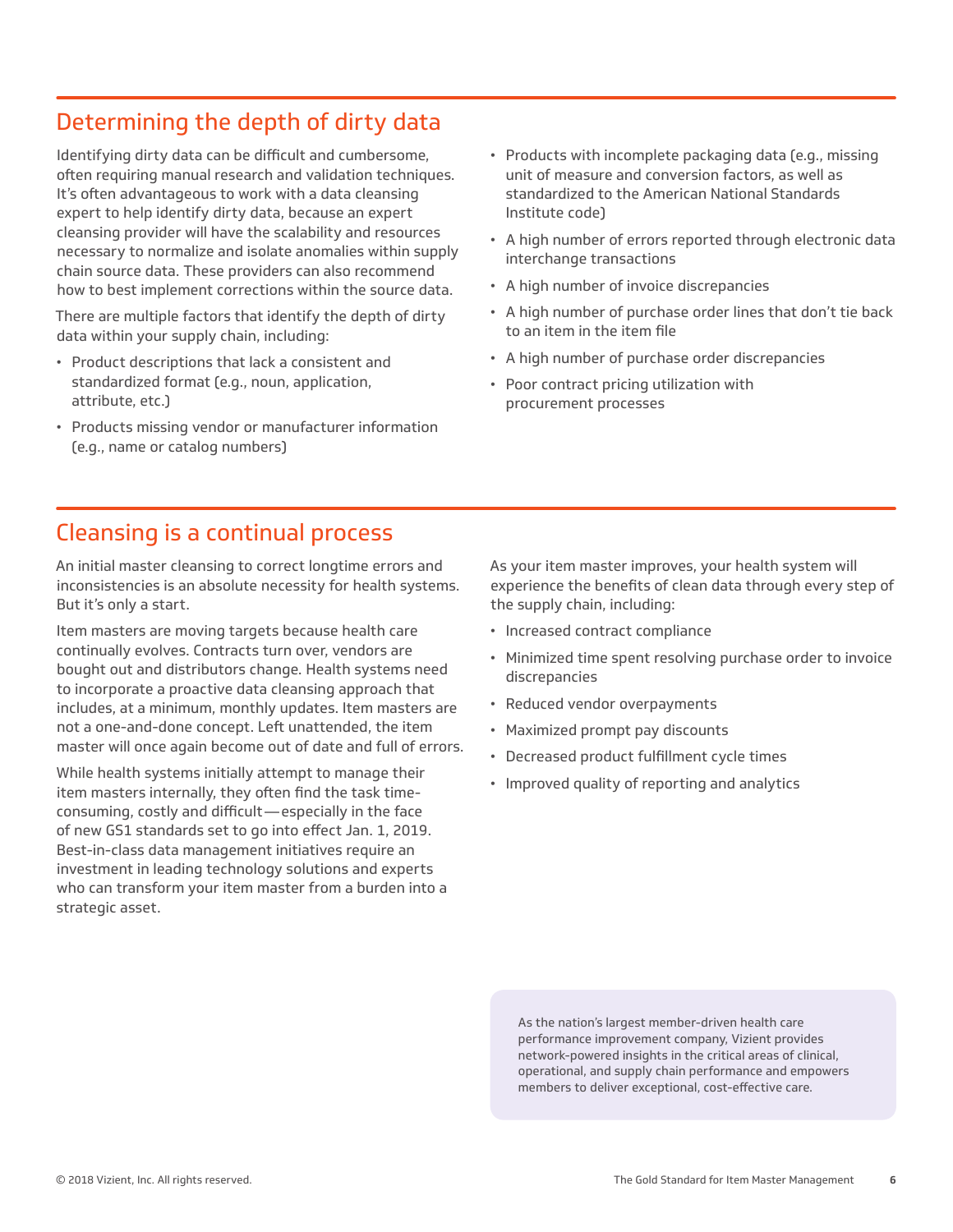# Determining the depth of dirty data

Identifying dirty data can be difficult and cumbersome, often requiring manual research and validation techniques. It's often advantageous to work with a data cleansing expert to help identify dirty data, because an expert cleansing provider will have the scalability and resources necessary to normalize and isolate anomalies within supply chain source data. These providers can also recommend how to best implement corrections within the source data.

There are multiple factors that identify the depth of dirty data within your supply chain, including:

- Product descriptions that lack a consistent and standardized format (e.g., noun, application, attribute, etc.)
- Products missing vendor or manufacturer information (e.g., name or catalog numbers)
- Products with incomplete packaging data (e.g., missing unit of measure and conversion factors, as well as standardized to the American National Standards Institute code)
- A high number of errors reported through electronic data interchange transactions
- A high number of invoice discrepancies
- A high number of purchase order lines that don't tie back to an item in the item file
- A high number of purchase order discrepancies
- Poor contract pricing utilization with procurement processes

## Cleansing is a continual process

An initial master cleansing to correct longtime errors and inconsistencies is an absolute necessity for health systems. But it's only a start.

Item masters are moving targets because health care continually evolves. Contracts turn over, vendors are bought out and distributors change. Health systems need to incorporate a proactive data cleansing approach that includes, at a minimum, monthly updates. Item masters are not a one-and-done concept. Left unattended, the item master will once again become out of date and full of errors.

While health systems initially attempt to manage their item masters internally, they often find the task timeconsuming, costly and difficult—especially in the face of new GS1 standards set to go into effect Jan. 1, 2019. Best-in-class data management initiatives require an investment in leading technology solutions and experts who can transform your item master from a burden into a strategic asset.

As your item master improves, your health system will experience the benefits of clean data through every step of the supply chain, including:

- Increased contract compliance
- Minimized time spent resolving purchase order to invoice discrepancies
- Reduced vendor overpayments
- Maximized prompt pay discounts
- Decreased product fulfillment cycle times
- Improved quality of reporting and analytics

As the nation's largest member-driven health care performance improvement company, Vizient provides network-powered insights in the critical areas of clinical, operational, and supply chain performance and empowers members to deliver exceptional, cost-effective care.